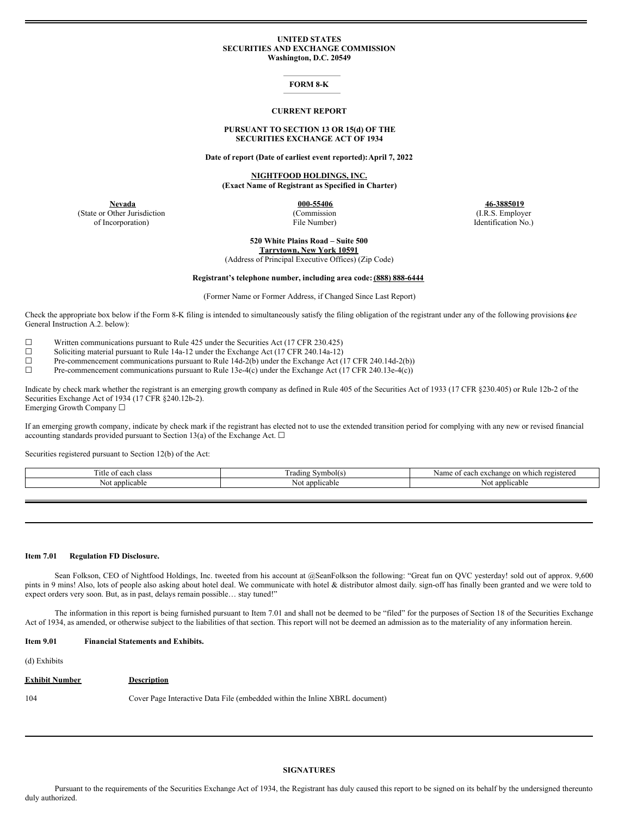# **UNITED STATES SECURITIES AND EXCHANGE COMMISSION Washington, D.C. 20549**

### **FORM 8-K**

#### **CURRENT REPORT**

# **PURSUANT TO SECTION 13 OR 15(d) OF THE SECURITIES EXCHANGE ACT OF 1934**

**Date of report (Date of earliest event reported):April 7, 2022**

**NIGHTFOOD HOLDINGS, INC. (Exact Name of Registrant as Specified in Charter)**

(State or Other Jurisdiction of Incorporation)

(Commission

File Number)

**Nevada 000-55406 46-3885019** (I.R.S. Employer Identification No.)

> **520 White Plains Road – Suite 500 Tarrytown, New York 10591**

(Address of Principal Executive Offices) (Zip Code)

#### **Registrant's telephone number, including area code: (888) 888-6444**

(Former Name or Former Address, if Changed Since Last Report)

Check the appropriate box below if the Form 8-K filing is intended to simultaneously satisfy the filing obligation of the registrant under any of the following provisions (*see* General Instruction A.2. below):

☐ Written communications pursuant to Rule 425 under the Securities Act (17 CFR 230.425)

☐ Soliciting material pursuant to Rule 14a-12 under the Exchange Act (17 CFR 240.14a-12)

 $\Box$  Pre-commencement communications pursuant to Rule 14d-2(b) under the Exchange Act (17 CFR 240.14d-2(b))<br>Pre-commencement communications pursuant to Rule 13e-4(c) under the Exchange Act (17 CFR 240.13e-4(c))

Pre-commencement communications pursuant to Rule 13e-4(c) under the Exchange Act (17 CFR 240.13e-4(c))

Indicate by check mark whether the registrant is an emerging growth company as defined in Rule 405 of the Securities Act of 1933 (17 CFR §230.405) or Rule 12b-2 of the Securities Exchange Act of 1934 (17 CFR §240.12b-2). Emerging Growth Company ☐

If an emerging growth company, indicate by check mark if the registrant has elected not to use the extended transition period for complying with any new or revised financial accounting standards provided pursuant to Section 13(a) of the Exchange Act.  $\Box$ 

Securities registered pursuant to Section 12(b) of the Act:

| `itle<br>$\Omega$<br>$\sim$<br>.<br>г стазэ | --<br>Symbol(s)<br>radıng | $r \alpha$ $\alpha$<br>exchange on which<br>™istereα<br>Nam<br>each<br>$\Omega$ |
|---------------------------------------------|---------------------------|---------------------------------------------------------------------------------|
| applicable<br>NC                            | applicable<br>N01         | applicable<br>NΩ                                                                |
|                                             |                           |                                                                                 |

#### **Item 7.01 Regulation FD Disclosure.**

Sean Folkson, CEO of Nightfood Holdings, Inc. tweeted from his account at @SeanFolkson the following: "Great fun on QVC yesterday! sold out of approx. 9,600 pints in 9 mins! Also, lots of people also asking about hotel deal. We communicate with hotel & distributor almost daily. sign-off has finally been granted and we were told to expect orders very soon. But, as in past, delays remain possible… stay tuned!"

The information in this report is being furnished pursuant to Item 7.01 and shall not be deemed to be "filed" for the purposes of Section 18 of the Securities Exchange Act of 1934, as amended, or otherwise subject to the liabilities of that section. This report will not be deemed an admission as to the materiality of any information herein.

#### **Item 9.01 Financial Statements and Exhibits.**

(d) Exhibits

| <b>Exhibit Number</b> | <b>Description</b>                                                          |
|-----------------------|-----------------------------------------------------------------------------|
| 104                   | Cover Page Interactive Data File (embedded within the Inline XBRL document) |

# **SIGNATURES**

Pursuant to the requirements of the Securities Exchange Act of 1934, the Registrant has duly caused this report to be signed on its behalf by the undersigned thereunto duly authorized.